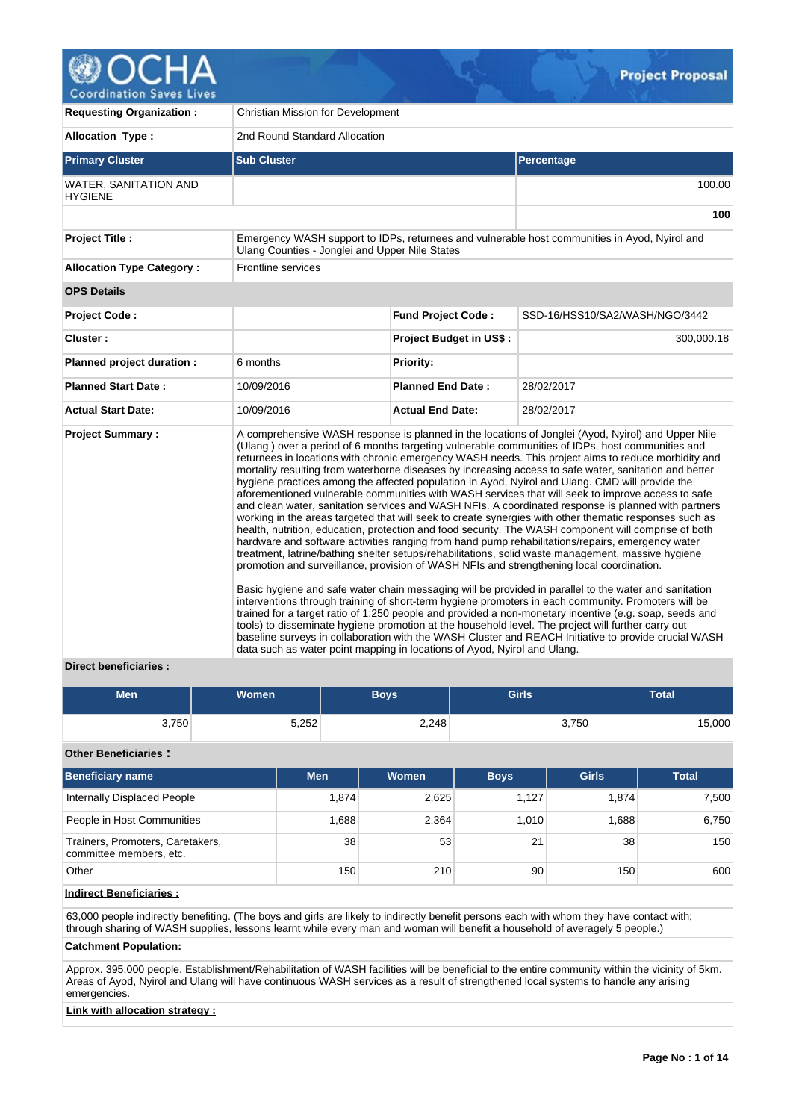

| <b>Requesting Organization:</b>         | <b>Christian Mission for Development</b>                                                                                                                             |                           |                                                                                                                                                                                                                                                                                                                                                                                                                                                                                                                                                                                                                                                                                                                                                                                                                                                                                                                                                                                                                                                                                                                                                                                                                                                                                                                                                                                                                                                                                                                                                                                                                                                                                                            |  |  |  |
|-----------------------------------------|----------------------------------------------------------------------------------------------------------------------------------------------------------------------|---------------------------|------------------------------------------------------------------------------------------------------------------------------------------------------------------------------------------------------------------------------------------------------------------------------------------------------------------------------------------------------------------------------------------------------------------------------------------------------------------------------------------------------------------------------------------------------------------------------------------------------------------------------------------------------------------------------------------------------------------------------------------------------------------------------------------------------------------------------------------------------------------------------------------------------------------------------------------------------------------------------------------------------------------------------------------------------------------------------------------------------------------------------------------------------------------------------------------------------------------------------------------------------------------------------------------------------------------------------------------------------------------------------------------------------------------------------------------------------------------------------------------------------------------------------------------------------------------------------------------------------------------------------------------------------------------------------------------------------------|--|--|--|
| <b>Allocation Type:</b>                 | 2nd Round Standard Allocation                                                                                                                                        |                           |                                                                                                                                                                                                                                                                                                                                                                                                                                                                                                                                                                                                                                                                                                                                                                                                                                                                                                                                                                                                                                                                                                                                                                                                                                                                                                                                                                                                                                                                                                                                                                                                                                                                                                            |  |  |  |
| <b>Primary Cluster</b>                  | <b>Sub Cluster</b>                                                                                                                                                   |                           | Percentage                                                                                                                                                                                                                                                                                                                                                                                                                                                                                                                                                                                                                                                                                                                                                                                                                                                                                                                                                                                                                                                                                                                                                                                                                                                                                                                                                                                                                                                                                                                                                                                                                                                                                                 |  |  |  |
| WATER, SANITATION AND<br><b>HYGIENE</b> |                                                                                                                                                                      |                           | 100.00                                                                                                                                                                                                                                                                                                                                                                                                                                                                                                                                                                                                                                                                                                                                                                                                                                                                                                                                                                                                                                                                                                                                                                                                                                                                                                                                                                                                                                                                                                                                                                                                                                                                                                     |  |  |  |
|                                         |                                                                                                                                                                      |                           | 100                                                                                                                                                                                                                                                                                                                                                                                                                                                                                                                                                                                                                                                                                                                                                                                                                                                                                                                                                                                                                                                                                                                                                                                                                                                                                                                                                                                                                                                                                                                                                                                                                                                                                                        |  |  |  |
| <b>Project Title:</b>                   | Emergency WASH support to IDPs, returnees and vulnerable host communities in Ayod, Nyirol and<br>Ulang Counties - Jonglei and Upper Nile States                      |                           |                                                                                                                                                                                                                                                                                                                                                                                                                                                                                                                                                                                                                                                                                                                                                                                                                                                                                                                                                                                                                                                                                                                                                                                                                                                                                                                                                                                                                                                                                                                                                                                                                                                                                                            |  |  |  |
| <b>Allocation Type Category:</b>        | Frontline services                                                                                                                                                   |                           |                                                                                                                                                                                                                                                                                                                                                                                                                                                                                                                                                                                                                                                                                                                                                                                                                                                                                                                                                                                                                                                                                                                                                                                                                                                                                                                                                                                                                                                                                                                                                                                                                                                                                                            |  |  |  |
| <b>OPS Details</b>                      |                                                                                                                                                                      |                           |                                                                                                                                                                                                                                                                                                                                                                                                                                                                                                                                                                                                                                                                                                                                                                                                                                                                                                                                                                                                                                                                                                                                                                                                                                                                                                                                                                                                                                                                                                                                                                                                                                                                                                            |  |  |  |
| <b>Project Code:</b>                    |                                                                                                                                                                      | <b>Fund Project Code:</b> | SSD-16/HSS10/SA2/WASH/NGO/3442                                                                                                                                                                                                                                                                                                                                                                                                                                                                                                                                                                                                                                                                                                                                                                                                                                                                                                                                                                                                                                                                                                                                                                                                                                                                                                                                                                                                                                                                                                                                                                                                                                                                             |  |  |  |
| Cluster:                                |                                                                                                                                                                      | Project Budget in US\$:   | 300,000.18                                                                                                                                                                                                                                                                                                                                                                                                                                                                                                                                                                                                                                                                                                                                                                                                                                                                                                                                                                                                                                                                                                                                                                                                                                                                                                                                                                                                                                                                                                                                                                                                                                                                                                 |  |  |  |
| Planned project duration :              | 6 months                                                                                                                                                             | <b>Priority:</b>          |                                                                                                                                                                                                                                                                                                                                                                                                                                                                                                                                                                                                                                                                                                                                                                                                                                                                                                                                                                                                                                                                                                                                                                                                                                                                                                                                                                                                                                                                                                                                                                                                                                                                                                            |  |  |  |
| <b>Planned Start Date:</b>              | 10/09/2016                                                                                                                                                           | <b>Planned End Date:</b>  | 28/02/2017                                                                                                                                                                                                                                                                                                                                                                                                                                                                                                                                                                                                                                                                                                                                                                                                                                                                                                                                                                                                                                                                                                                                                                                                                                                                                                                                                                                                                                                                                                                                                                                                                                                                                                 |  |  |  |
| <b>Actual Start Date:</b>               | 10/09/2016                                                                                                                                                           | <b>Actual End Date:</b>   | 28/02/2017                                                                                                                                                                                                                                                                                                                                                                                                                                                                                                                                                                                                                                                                                                                                                                                                                                                                                                                                                                                                                                                                                                                                                                                                                                                                                                                                                                                                                                                                                                                                                                                                                                                                                                 |  |  |  |
| <b>Project Summary:</b>                 | promotion and surveillance, provision of WASH NFIs and strengthening local coordination.<br>data such as water point mapping in locations of Ayod, Nyirol and Ulang. |                           | A comprehensive WASH response is planned in the locations of Jonglei (Ayod, Nyirol) and Upper Nile<br>(Ulang) over a period of 6 months targeting vulnerable communities of IDPs, host communities and<br>returnees in locations with chronic emergency WASH needs. This project aims to reduce morbidity and<br>mortality resulting from waterborne diseases by increasing access to safe water, sanitation and better<br>hygiene practices among the affected population in Ayod, Nyirol and Ulang. CMD will provide the<br>aforementioned vulnerable communities with WASH services that will seek to improve access to safe<br>and clean water, sanitation services and WASH NFIs. A coordinated response is planned with partners<br>working in the areas targeted that will seek to create synergies with other thematic responses such as<br>health, nutrition, education, protection and food security. The WASH component will comprise of both<br>hardware and software activities ranging from hand pump rehabilitations/repairs, emergency water<br>treatment, latrine/bathing shelter setups/rehabilitations, solid waste management, massive hygiene<br>Basic hygiene and safe water chain messaging will be provided in parallel to the water and sanitation<br>interventions through training of short-term hygiene promoters in each community. Promoters will be<br>trained for a target ratio of 1:250 people and provided a non-monetary incentive (e.g. soap, seeds and<br>tools) to disseminate hygiene promotion at the household level. The project will further carry out<br>baseline surveys in collaboration with the WASH Cluster and REACH Initiative to provide crucial WASH |  |  |  |

#### **Direct beneficiaries :**

| <b>Men</b> | <b>Women</b> | <b>Boys</b> | <b>Girls</b> | <b>Total</b> |
|------------|--------------|-------------|--------------|--------------|
| 3,750      | 5,252        | 2,248       | 3,750        | 15,000       |

# **Other Beneficiaries :**

| <b>Beneficiary name</b>                                     | <b>Men</b> | Women | <b>Boys</b> | <b>Girls</b> | <b>Total</b> |
|-------------------------------------------------------------|------------|-------|-------------|--------------|--------------|
| Internally Displaced People                                 | 1,874      | 2,625 | 1.127       | 1.874        | 7,500        |
| People in Host Communities                                  | 1.688      | 2,364 | 1.010       | 1.688        | 6,750        |
| Trainers, Promoters, Caretakers,<br>committee members, etc. | 38         | 53    | 21          | 38           | 150          |
| Other                                                       | 150        | 210   | 90          | 150          | 600          |

# **Indirect Beneficiaries :**

63,000 people indirectly benefiting. (The boys and girls are likely to indirectly benefit persons each with whom they have contact with; through sharing of WASH supplies, lessons learnt while every man and woman will benefit a household of averagely 5 people.)

# **Catchment Population:**

Approx. 395,000 people. Establishment/Rehabilitation of WASH facilities will be beneficial to the entire community within the vicinity of 5km. Areas of Ayod, Nyirol and Ulang will have continuous WASH services as a result of strengthened local systems to handle any arising emergencies.

# **Link with allocation strategy :**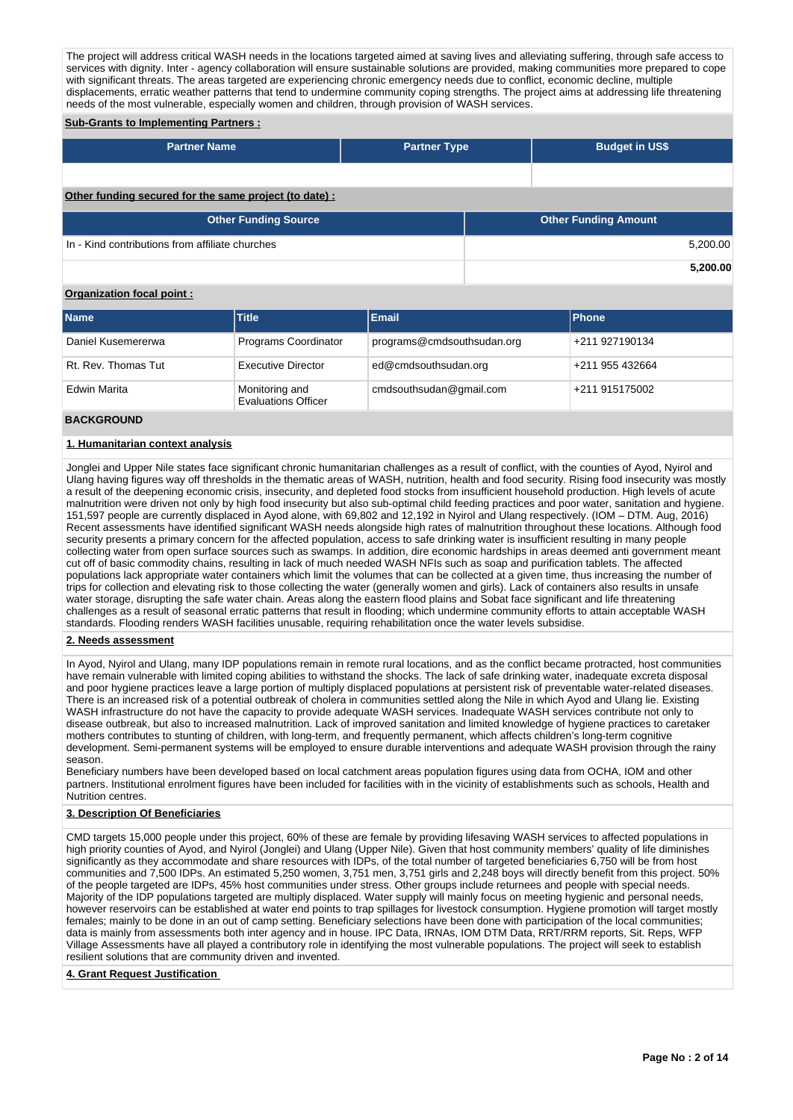The project will address critical WASH needs in the locations targeted aimed at saving lives and alleviating suffering, through safe access to services with dignity. Inter - agency collaboration will ensure sustainable solutions are provided, making communities more prepared to cope with significant threats. The areas targeted are experiencing chronic emergency needs due to conflict, economic decline, multiple displacements, erratic weather patterns that tend to undermine community coping strengths. The project aims at addressing life threatening needs of the most vulnerable, especially women and children, through provision of WASH services.

# **Sub-Grants to Implementing Partners :**

| <b>Partner Name</b>                                   | <b>Partner Type</b> |  | <b>Budget in US\$</b>       |          |  |  |  |  |
|-------------------------------------------------------|---------------------|--|-----------------------------|----------|--|--|--|--|
|                                                       |                     |  |                             |          |  |  |  |  |
| Other funding secured for the same project (to date): |                     |  |                             |          |  |  |  |  |
| <b>Other Funding Source</b>                           |                     |  | <b>Other Funding Amount</b> |          |  |  |  |  |
| In - Kind contributions from affiliate churches       |                     |  |                             | 5,200.00 |  |  |  |  |
|                                                       |                     |  |                             | 5.200.00 |  |  |  |  |

#### **Organization focal point :**

| <b>Name</b>         | <b>Title</b>                                 | Email                      | <b>IPhone</b>   |
|---------------------|----------------------------------------------|----------------------------|-----------------|
| Daniel Kusemererwa  | Programs Coordinator                         | programs@cmdsouthsudan.org | +211 927190134  |
| Rt. Rev. Thomas Tut | Executive Director                           | ed@cmdsouthsudan.org       | +211 955 432664 |
| Edwin Marita        | Monitoring and<br><b>Evaluations Officer</b> | cmdsouthsudan@gmail.com    | +211 915175002  |
|                     |                                              |                            |                 |

#### **BACKGROUND**

#### **1. Humanitarian context analysis**

Jonglei and Upper Nile states face significant chronic humanitarian challenges as a result of conflict, with the counties of Ayod, Nyirol and Ulang having figures way off thresholds in the thematic areas of WASH, nutrition, health and food security. Rising food insecurity was mostly a result of the deepening economic crisis, insecurity, and depleted food stocks from insufficient household production. High levels of acute malnutrition were driven not only by high food insecurity but also sub-optimal child feeding practices and poor water, sanitation and hygiene. 151,597 people are currently displaced in Ayod alone, with 69,802 and 12,192 in Nyirol and Ulang respectively. (IOM – DTM. Aug, 2016) Recent assessments have identified significant WASH needs alongside high rates of malnutrition throughout these locations. Although food security presents a primary concern for the affected population, access to safe drinking water is insufficient resulting in many people collecting water from open surface sources such as swamps. In addition, dire economic hardships in areas deemed anti government meant cut off of basic commodity chains, resulting in lack of much needed WASH NFIs such as soap and purification tablets. The affected populations lack appropriate water containers which limit the volumes that can be collected at a given time, thus increasing the number of trips for collection and elevating risk to those collecting the water (generally women and girls). Lack of containers also results in unsafe water storage, disrupting the safe water chain. Areas along the eastern flood plains and Sobat face significant and life threatening challenges as a result of seasonal erratic patterns that result in flooding; which undermine community efforts to attain acceptable WASH standards. Flooding renders WASH facilities unusable, requiring rehabilitation once the water levels subsidise.

#### **2. Needs assessment**

In Ayod, Nyirol and Ulang, many IDP populations remain in remote rural locations, and as the conflict became protracted, host communities have remain vulnerable with limited coping abilities to withstand the shocks. The lack of safe drinking water, inadequate excreta disposal and poor hygiene practices leave a large portion of multiply displaced populations at persistent risk of preventable water-related diseases. There is an increased risk of a potential outbreak of cholera in communities settled along the Nile in which Ayod and Ulang lie. Existing WASH infrastructure do not have the capacity to provide adequate WASH services. Inadequate WASH services contribute not only to disease outbreak, but also to increased malnutrition. Lack of improved sanitation and limited knowledge of hygiene practices to caretaker mothers contributes to stunting of children, with long-term, and frequently permanent, which affects children's long-term cognitive development. Semi-permanent systems will be employed to ensure durable interventions and adequate WASH provision through the rainy season.

Beneficiary numbers have been developed based on local catchment areas population figures using data from OCHA, IOM and other partners. Institutional enrolment figures have been included for facilities with in the vicinity of establishments such as schools, Health and Nutrition centres.

#### **3. Description Of Beneficiaries**

CMD targets 15,000 people under this project, 60% of these are female by providing lifesaving WASH services to affected populations in high priority counties of Ayod, and Nyirol (Jonglei) and Ulang (Upper Nile). Given that host community members' quality of life diminishes significantly as they accommodate and share resources with IDPs, of the total number of targeted beneficiaries 6,750 will be from host communities and 7,500 IDPs. An estimated 5,250 women, 3,751 men, 3,751 girls and 2,248 boys will directly benefit from this project. 50% of the people targeted are IDPs, 45% host communities under stress. Other groups include returnees and people with special needs. Majority of the IDP populations targeted are multiply displaced. Water supply will mainly focus on meeting hygienic and personal needs, however reservoirs can be established at water end points to trap spillages for livestock consumption. Hygiene promotion will target mostly females; mainly to be done in an out of camp setting. Beneficiary selections have been done with participation of the local communities; data is mainly from assessments both inter agency and in house. IPC Data, IRNAs, IOM DTM Data, RRT/RRM reports, Sit. Reps, WFP Village Assessments have all played a contributory role in identifying the most vulnerable populations. The project will seek to establish resilient solutions that are community driven and invented.

#### **4. Grant Request Justification**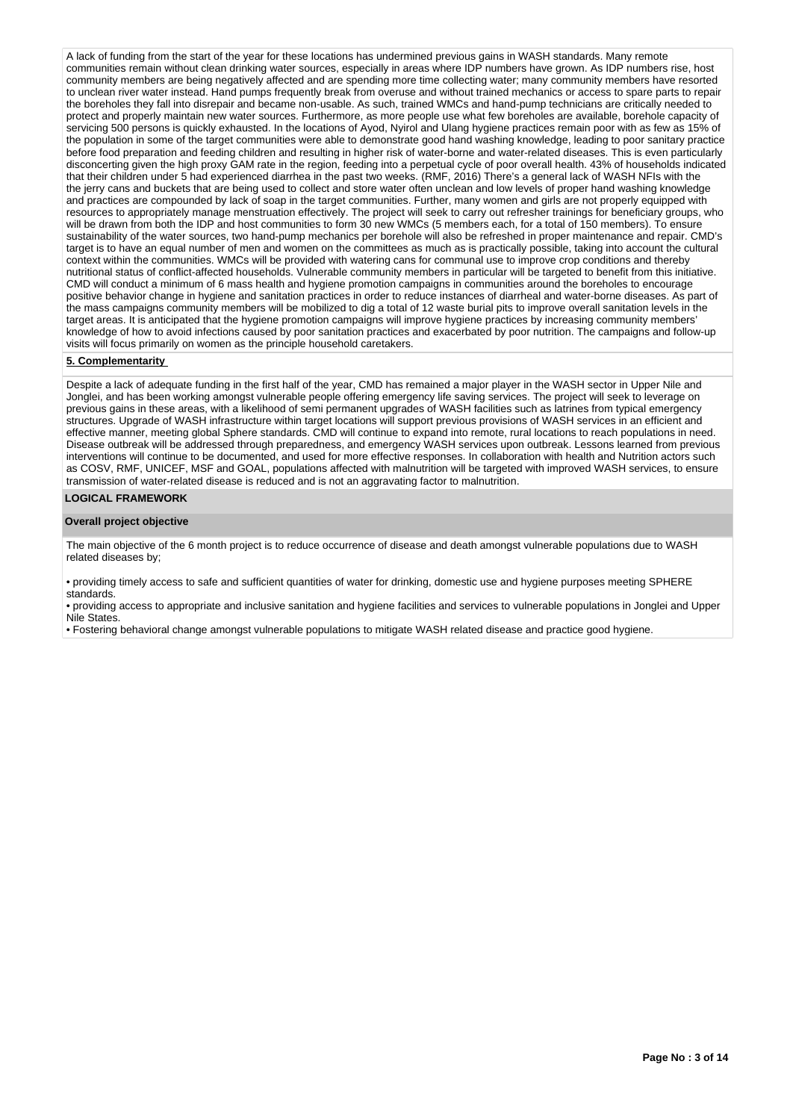A lack of funding from the start of the year for these locations has undermined previous gains in WASH standards. Many remote communities remain without clean drinking water sources, especially in areas where IDP numbers have grown. As IDP numbers rise, host community members are being negatively affected and are spending more time collecting water; many community members have resorted to unclean river water instead. Hand pumps frequently break from overuse and without trained mechanics or access to spare parts to repair the boreholes they fall into disrepair and became non-usable. As such, trained WMCs and hand-pump technicians are critically needed to protect and properly maintain new water sources. Furthermore, as more people use what few boreholes are available, borehole capacity of servicing 500 persons is quickly exhausted. In the locations of Ayod, Nyirol and Ulang hygiene practices remain poor with as few as 15% of the population in some of the target communities were able to demonstrate good hand washing knowledge, leading to poor sanitary practice before food preparation and feeding children and resulting in higher risk of water-borne and water-related diseases. This is even particularly disconcerting given the high proxy GAM rate in the region, feeding into a perpetual cycle of poor overall health. 43% of households indicated that their children under 5 had experienced diarrhea in the past two weeks. (RMF, 2016) There's a general lack of WASH NFIs with the the jerry cans and buckets that are being used to collect and store water often unclean and low levels of proper hand washing knowledge and practices are compounded by lack of soap in the target communities. Further, many women and girls are not properly equipped with resources to appropriately manage menstruation effectively. The project will seek to carry out refresher trainings for beneficiary groups, who will be drawn from both the IDP and host communities to form 30 new WMCs (5 members each, for a total of 150 members). To ensure sustainability of the water sources, two hand-pump mechanics per borehole will also be refreshed in proper maintenance and repair. CMD's target is to have an equal number of men and women on the committees as much as is practically possible, taking into account the cultural context within the communities. WMCs will be provided with watering cans for communal use to improve crop conditions and thereby nutritional status of conflict-affected households. Vulnerable community members in particular will be targeted to benefit from this initiative. CMD will conduct a minimum of 6 mass health and hygiene promotion campaigns in communities around the boreholes to encourage positive behavior change in hygiene and sanitation practices in order to reduce instances of diarrheal and water-borne diseases. As part of the mass campaigns community members will be mobilized to dig a total of 12 waste burial pits to improve overall sanitation levels in the target areas. It is anticipated that the hygiene promotion campaigns will improve hygiene practices by increasing community members' knowledge of how to avoid infections caused by poor sanitation practices and exacerbated by poor nutrition. The campaigns and follow-up visits will focus primarily on women as the principle household caretakers.

#### **5. Complementarity**

Despite a lack of adequate funding in the first half of the year, CMD has remained a major player in the WASH sector in Upper Nile and Jonglei, and has been working amongst vulnerable people offering emergency life saving services. The project will seek to leverage on previous gains in these areas, with a likelihood of semi permanent upgrades of WASH facilities such as latrines from typical emergency structures. Upgrade of WASH infrastructure within target locations will support previous provisions of WASH services in an efficient and effective manner, meeting global Sphere standards. CMD will continue to expand into remote, rural locations to reach populations in need. Disease outbreak will be addressed through preparedness, and emergency WASH services upon outbreak. Lessons learned from previous interventions will continue to be documented, and used for more effective responses. In collaboration with health and Nutrition actors such as COSV, RMF, UNICEF, MSF and GOAL, populations affected with malnutrition will be targeted with improved WASH services, to ensure transmission of water-related disease is reduced and is not an aggravating factor to malnutrition.

#### **LOGICAL FRAMEWORK**

#### **Overall project objective**

The main objective of the 6 month project is to reduce occurrence of disease and death amongst vulnerable populations due to WASH related diseases by;

• providing timely access to safe and sufficient quantities of water for drinking, domestic use and hygiene purposes meeting SPHERE standards.

• providing access to appropriate and inclusive sanitation and hygiene facilities and services to vulnerable populations in Jonglei and Upper Nile States.

• Fostering behavioral change amongst vulnerable populations to mitigate WASH related disease and practice good hygiene.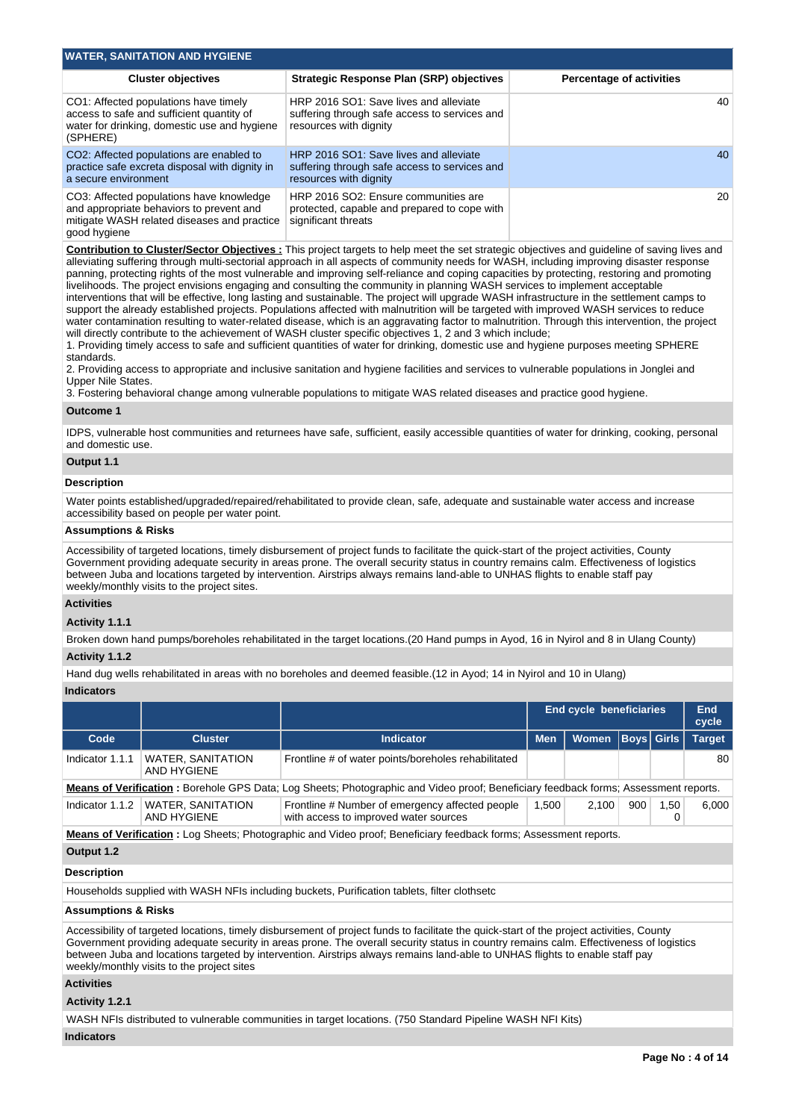| <b>WATER, SANITATION AND HYGIENE</b>                                                                                                                |                                                                                                                   |                                 |  |  |  |  |  |  |
|-----------------------------------------------------------------------------------------------------------------------------------------------------|-------------------------------------------------------------------------------------------------------------------|---------------------------------|--|--|--|--|--|--|
| <b>Cluster objectives</b>                                                                                                                           | <b>Strategic Response Plan (SRP) objectives</b>                                                                   | <b>Percentage of activities</b> |  |  |  |  |  |  |
| CO1: Affected populations have timely<br>access to safe and sufficient quantity of<br>water for drinking, domestic use and hygiene<br>(SPHERE)      | HRP 2016 SO1: Save lives and alleviate<br>suffering through safe access to services and<br>resources with dignity | 40                              |  |  |  |  |  |  |
| CO2: Affected populations are enabled to<br>practice safe excreta disposal with dignity in<br>a secure environment                                  | HRP 2016 SO1: Save lives and alleviate<br>suffering through safe access to services and<br>resources with dignity | 40                              |  |  |  |  |  |  |
| CO3: Affected populations have knowledge<br>and appropriate behaviors to prevent and<br>mitigate WASH related diseases and practice<br>good hygiene | HRP 2016 SO2: Ensure communities are<br>protected, capable and prepared to cope with<br>significant threats       | 20                              |  |  |  |  |  |  |

**Contribution to Cluster/Sector Objectives :** This project targets to help meet the set strategic objectives and guideline of saving lives and alleviating suffering through multi-sectorial approach in all aspects of community needs for WASH, including improving disaster response panning, protecting rights of the most vulnerable and improving self-reliance and coping capacities by protecting, restoring and promoting livelihoods. The project envisions engaging and consulting the community in planning WASH services to implement acceptable interventions that will be effective, long lasting and sustainable. The project will upgrade WASH infrastructure in the settlement camps to support the already established projects. Populations affected with malnutrition will be targeted with improved WASH services to reduce water contamination resulting to water-related disease, which is an aggravating factor to malnutrition. Through this intervention, the project will directly contribute to the achievement of WASH cluster specific objectives 1, 2 and 3 which include;

1. Providing timely access to safe and sufficient quantities of water for drinking, domestic use and hygiene purposes meeting SPHERE standards.

2. Providing access to appropriate and inclusive sanitation and hygiene facilities and services to vulnerable populations in Jonglei and Upper Nile States.

3. Fostering behavioral change among vulnerable populations to mitigate WAS related diseases and practice good hygiene.

#### **Outcome 1**

IDPS, vulnerable host communities and returnees have safe, sufficient, easily accessible quantities of water for drinking, cooking, personal and domestic use.

#### **Output 1.1**

#### **Description**

Water points established/upgraded/repaired/rehabilitated to provide clean, safe, adequate and sustainable water access and increase accessibility based on people per water point.

#### **Assumptions & Risks**

Accessibility of targeted locations, timely disbursement of project funds to facilitate the quick-start of the project activities, County Government providing adequate security in areas prone. The overall security status in country remains calm. Effectiveness of logistics between Juba and locations targeted by intervention. Airstrips always remains land-able to UNHAS flights to enable staff pay weekly/monthly visits to the project sites.

#### **Activities**

**Activity 1.1.1** 

Broken down hand pumps/boreholes rehabilitated in the target locations.(20 Hand pumps in Ayod, 16 in Nyirol and 8 in Ulang County) **Activity 1.1.2** 

Hand dug wells rehabilitated in areas with no boreholes and deemed feasible.(12 in Ayod; 14 in Nyirol and 10 in Ulang)

# **Indicators**

|                                                                                                                                     |                                                                                                                   |                                                                                          |            | <b>End cycle beneficiaries</b> |                   |      | End<br>cycle |  |  |
|-------------------------------------------------------------------------------------------------------------------------------------|-------------------------------------------------------------------------------------------------------------------|------------------------------------------------------------------------------------------|------------|--------------------------------|-------------------|------|--------------|--|--|
| Code                                                                                                                                | <b>Cluster</b>                                                                                                    | <b>Indicator</b>                                                                         | <b>Men</b> | Women                          | <b>Boys Girls</b> |      | Target       |  |  |
| Indicator 1.1.1                                                                                                                     | <b>WATER, SANITATION</b><br>AND HYGIENE                                                                           | Frontline # of water points/boreholes rehabilitated                                      |            |                                |                   |      | 80           |  |  |
| Means of Verification: Borehole GPS Data; Log Sheets; Photographic and Video proof; Beneficiary feedback forms; Assessment reports. |                                                                                                                   |                                                                                          |            |                                |                   |      |              |  |  |
| Indicator 1.1.2                                                                                                                     | <b>WATER, SANITATION</b><br>AND HYGIENE                                                                           | Frontline # Number of emergency affected people<br>with access to improved water sources | 1.500      | 2.100                          | 900               | 1.50 | 6.000        |  |  |
|                                                                                                                                     | Means of Verification : Log Sheets; Photographic and Video proof; Beneficiary feedback forms; Assessment reports. |                                                                                          |            |                                |                   |      |              |  |  |

# **Output 1.2**

#### **Description**

Households supplied with WASH NFIs including buckets, Purification tablets, filter clothsetc

#### **Assumptions & Risks**

Accessibility of targeted locations, timely disbursement of project funds to facilitate the quick-start of the project activities, County Government providing adequate security in areas prone. The overall security status in country remains calm. Effectiveness of logistics between Juba and locations targeted by intervention. Airstrips always remains land-able to UNHAS flights to enable staff pay weekly/monthly visits to the project sites

# **Activities**

#### **Activity 1.2.1**

WASH NFIs distributed to vulnerable communities in target locations. (750 Standard Pipeline WASH NFI Kits)

#### **Indicators**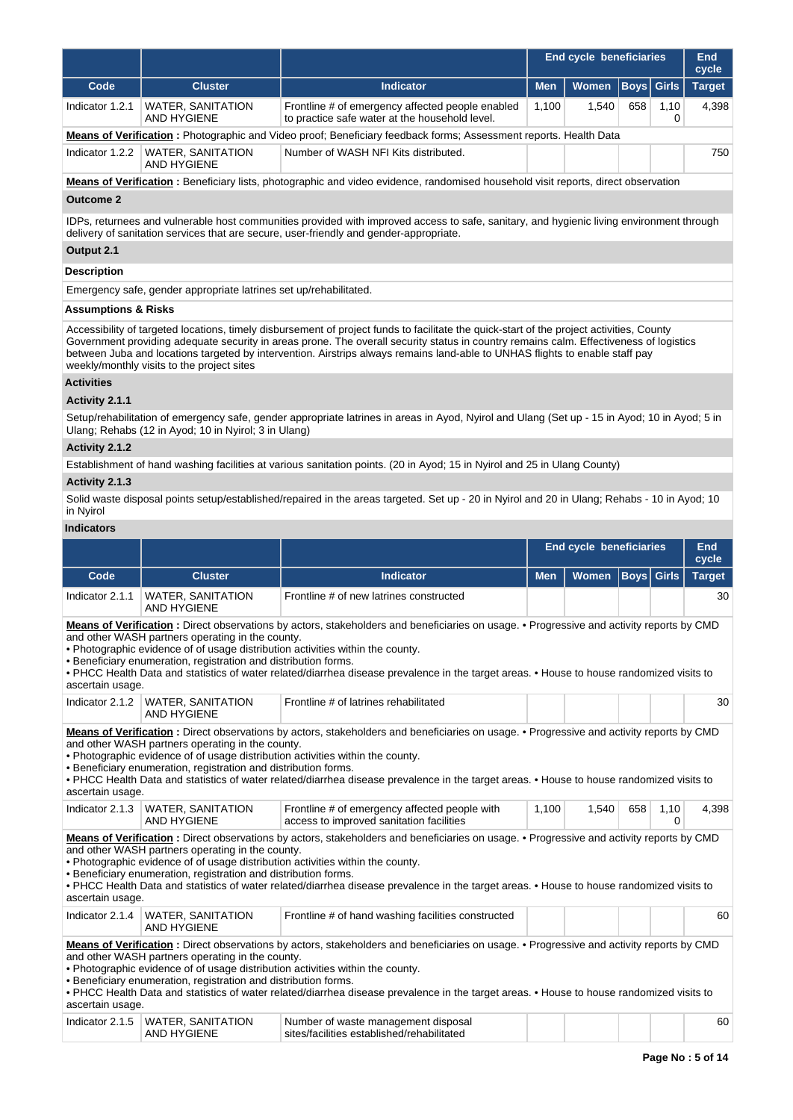| <b>Target</b><br>4,398                                                                                                                                                                                                                                                                                                                                                                                                                                                                                                                                                               |  |  |  |  |  |  |  |  |
|--------------------------------------------------------------------------------------------------------------------------------------------------------------------------------------------------------------------------------------------------------------------------------------------------------------------------------------------------------------------------------------------------------------------------------------------------------------------------------------------------------------------------------------------------------------------------------------|--|--|--|--|--|--|--|--|
|                                                                                                                                                                                                                                                                                                                                                                                                                                                                                                                                                                                      |  |  |  |  |  |  |  |  |
|                                                                                                                                                                                                                                                                                                                                                                                                                                                                                                                                                                                      |  |  |  |  |  |  |  |  |
|                                                                                                                                                                                                                                                                                                                                                                                                                                                                                                                                                                                      |  |  |  |  |  |  |  |  |
| 750                                                                                                                                                                                                                                                                                                                                                                                                                                                                                                                                                                                  |  |  |  |  |  |  |  |  |
|                                                                                                                                                                                                                                                                                                                                                                                                                                                                                                                                                                                      |  |  |  |  |  |  |  |  |
|                                                                                                                                                                                                                                                                                                                                                                                                                                                                                                                                                                                      |  |  |  |  |  |  |  |  |
| IDPs, returnees and vulnerable host communities provided with improved access to safe, sanitary, and hygienic living environment through                                                                                                                                                                                                                                                                                                                                                                                                                                             |  |  |  |  |  |  |  |  |
| Output 2.1                                                                                                                                                                                                                                                                                                                                                                                                                                                                                                                                                                           |  |  |  |  |  |  |  |  |
|                                                                                                                                                                                                                                                                                                                                                                                                                                                                                                                                                                                      |  |  |  |  |  |  |  |  |
|                                                                                                                                                                                                                                                                                                                                                                                                                                                                                                                                                                                      |  |  |  |  |  |  |  |  |
|                                                                                                                                                                                                                                                                                                                                                                                                                                                                                                                                                                                      |  |  |  |  |  |  |  |  |
| Government providing adequate security in areas prone. The overall security status in country remains calm. Effectiveness of logistics                                                                                                                                                                                                                                                                                                                                                                                                                                               |  |  |  |  |  |  |  |  |
|                                                                                                                                                                                                                                                                                                                                                                                                                                                                                                                                                                                      |  |  |  |  |  |  |  |  |
|                                                                                                                                                                                                                                                                                                                                                                                                                                                                                                                                                                                      |  |  |  |  |  |  |  |  |
| Setup/rehabilitation of emergency safe, gender appropriate latrines in areas in Ayod, Nyirol and Ulang (Set up - 15 in Ayod; 10 in Ayod; 5 in                                                                                                                                                                                                                                                                                                                                                                                                                                        |  |  |  |  |  |  |  |  |
|                                                                                                                                                                                                                                                                                                                                                                                                                                                                                                                                                                                      |  |  |  |  |  |  |  |  |
|                                                                                                                                                                                                                                                                                                                                                                                                                                                                                                                                                                                      |  |  |  |  |  |  |  |  |
|                                                                                                                                                                                                                                                                                                                                                                                                                                                                                                                                                                                      |  |  |  |  |  |  |  |  |
| Solid waste disposal points setup/established/repaired in the areas targeted. Set up - 20 in Nyirol and 20 in Ulang; Rehabs - 10 in Ayod; 10                                                                                                                                                                                                                                                                                                                                                                                                                                         |  |  |  |  |  |  |  |  |
|                                                                                                                                                                                                                                                                                                                                                                                                                                                                                                                                                                                      |  |  |  |  |  |  |  |  |
| <b>End</b><br>cycle                                                                                                                                                                                                                                                                                                                                                                                                                                                                                                                                                                  |  |  |  |  |  |  |  |  |
| <b>Target</b>                                                                                                                                                                                                                                                                                                                                                                                                                                                                                                                                                                        |  |  |  |  |  |  |  |  |
| 30                                                                                                                                                                                                                                                                                                                                                                                                                                                                                                                                                                                   |  |  |  |  |  |  |  |  |
| Means of Verification: Direct observations by actors, stakeholders and beneficiaries on usage. • Progressive and activity reports by CMD<br>. PHCC Health Data and statistics of water related/diarrhea disease prevalence in the target areas. . House to house randomized visits to                                                                                                                                                                                                                                                                                                |  |  |  |  |  |  |  |  |
| 30                                                                                                                                                                                                                                                                                                                                                                                                                                                                                                                                                                                   |  |  |  |  |  |  |  |  |
| <b>AND HYGIENE</b><br>Means of Verification: Direct observations by actors, stakeholders and beneficiaries on usage. • Progressive and activity reports by CMD<br>and other WASH partners operating in the county.<br>. Photographic evidence of of usage distribution activities within the county.<br>· Beneficiary enumeration, registration and distribution forms.<br>. PHCC Health Data and statistics of water related/diarrhea disease prevalence in the target areas. . House to house randomized visits to<br>ascertain usage.                                             |  |  |  |  |  |  |  |  |
| 4,398                                                                                                                                                                                                                                                                                                                                                                                                                                                                                                                                                                                |  |  |  |  |  |  |  |  |
| Means of Verification: Direct observations by actors, stakeholders and beneficiaries on usage. • Progressive and activity reports by CMD<br>. PHCC Health Data and statistics of water related/diarrhea disease prevalence in the target areas. . House to house randomized visits to<br>60<br>Means of Verification: Direct observations by actors, stakeholders and beneficiaries on usage. . Progressive and activity reports by CMD<br>• PHCC Health Data and statistics of water related/diarrhea disease prevalence in the target areas. • House to house randomized visits to |  |  |  |  |  |  |  |  |
|                                                                                                                                                                                                                                                                                                                                                                                                                                                                                                                                                                                      |  |  |  |  |  |  |  |  |

| Inr.<br>are.<br>$\sim$ | <b>TION</b><br><b>MATER</b><br>√∆NII'<br>'NF | : disposal<br>Number<br>demer<br>.<br>∟lished/rehabilitate\<br>۹tı |  |  | $\sim$<br>οU |
|------------------------|----------------------------------------------|--------------------------------------------------------------------|--|--|--------------|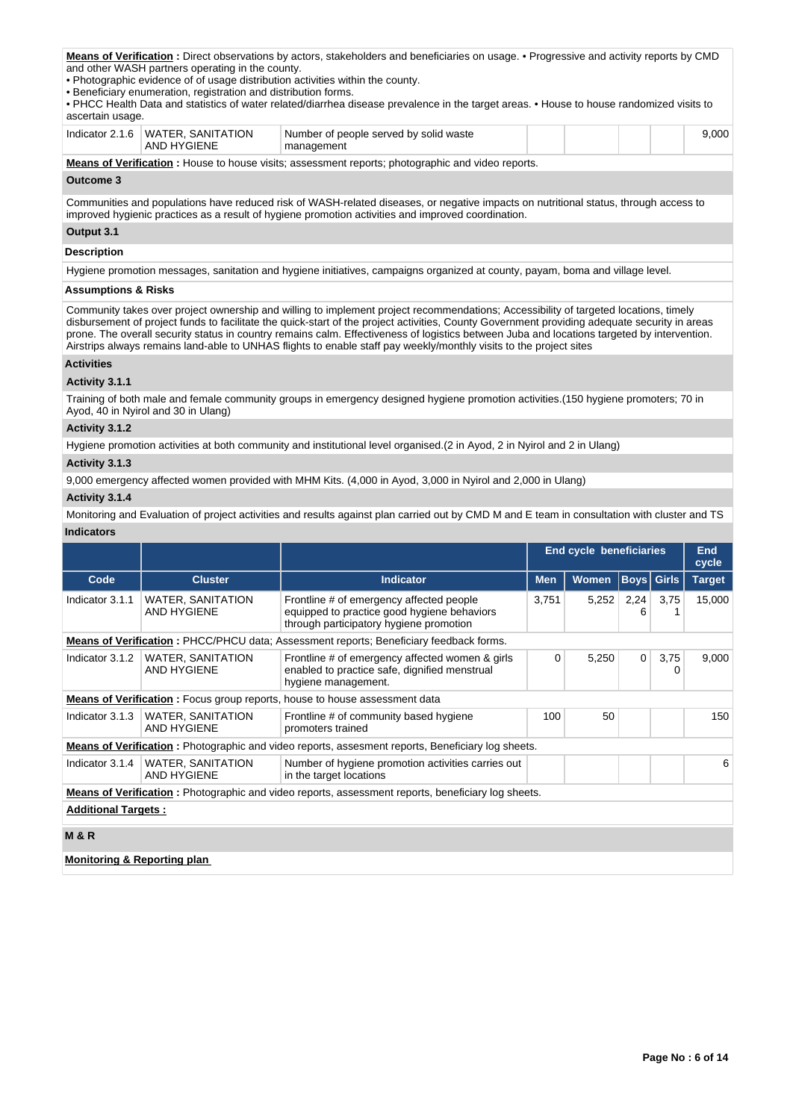**Means of Verification :** Direct observations by actors, stakeholders and beneficiaries on usage. • Progressive and activity reports by CMD and other WASH partners operating in the county.

• Photographic evidence of of usage distribution activities within the county.

• Beneficiary enumeration, registration and distribution forms.

• PHCC Health Data and statistics of water related/diarrhea disease prevalence in the target areas. • House to house randomized visits to ascertain usage.

|                                                                                                   | Indicator 2.1.6 I WATER, SANITATION<br>AND HYGIENE | Number of people served by solid waste<br>management |  |  |  |  | 9.000 |
|---------------------------------------------------------------------------------------------------|----------------------------------------------------|------------------------------------------------------|--|--|--|--|-------|
| Means of Verification: House to house visits; assessment reports; photographic and video reports. |                                                    |                                                      |  |  |  |  |       |

## **Outcome 3**

Communities and populations have reduced risk of WASH-related diseases, or negative impacts on nutritional status, through access to improved hygienic practices as a result of hygiene promotion activities and improved coordination.

# **Output 3.1 Description**

Hygiene promotion messages, sanitation and hygiene initiatives, campaigns organized at county, payam, boma and village level.

#### **Assumptions & Risks**

Community takes over project ownership and willing to implement project recommendations; Accessibility of targeted locations, timely disbursement of project funds to facilitate the quick-start of the project activities, County Government providing adequate security in areas prone. The overall security status in country remains calm. Effectiveness of logistics between Juba and locations targeted by intervention. Airstrips always remains land-able to UNHAS flights to enable staff pay weekly/monthly visits to the project sites

### **Activities**

### **Activity 3.1.1**

Training of both male and female community groups in emergency designed hygiene promotion activities.(150 hygiene promoters; 70 in Ayod, 40 in Nyirol and 30 in Ulang)

## **Activity 3.1.2**

Hygiene promotion activities at both community and institutional level organised.(2 in Ayod, 2 in Nyirol and 2 in Ulang)

# **Activity 3.1.3**

9,000 emergency affected women provided with MHM Kits. (4,000 in Ayod, 3,000 in Nyirol and 2,000 in Ulang)

#### **Activity 3.1.4**

Monitoring and Evaluation of project activities and results against plan carried out by CMD M and E team in consultation with cluster and TS

|                                        |                                                           |                                                                                                                                    | <b>End cycle beneficiaries</b> |              |                   | <b>End</b><br>cycle |               |
|----------------------------------------|-----------------------------------------------------------|------------------------------------------------------------------------------------------------------------------------------------|--------------------------------|--------------|-------------------|---------------------|---------------|
| Code                                   | <b>Cluster</b>                                            | <b>Indicator</b>                                                                                                                   | <b>Men</b>                     | <b>Women</b> | <b>Boys</b> Girls |                     | <b>Target</b> |
| Indicator 3.1.1                        | <b>WATER, SANITATION</b><br>AND HYGIENE                   | Frontline # of emergency affected people<br>equipped to practice good hygiene behaviors<br>through participatory hygiene promotion | 3,751                          | 5,252        | 2,24<br>6         | 3,75                | 15,000        |
|                                        |                                                           | <b>Means of Verification:</b> PHCC/PHCU data; Assessment reports; Beneficiary feedback forms.                                      |                                |              |                   |                     |               |
| Indicator 3.1.2                        | <b>WATER, SANITATION</b><br>AND HYGIENE                   | Frontline # of emergency affected women & girls<br>enabled to practice safe, dignified menstrual<br>hygiene management.            | 0                              | 5,250        | $\mathbf 0$       | 3,75<br>0           | 9,000         |
|                                        |                                                           | <b>Means of Verification</b> : Focus group reports, house to house assessment data                                                 |                                |              |                   |                     |               |
|                                        | Indicator 3.1.3   WATER, SANITATION<br><b>AND HYGIENE</b> | Frontline # of community based hygiene<br>promoters trained                                                                        | 100                            | 50           |                   |                     | 150           |
|                                        |                                                           | <b>Means of Verification</b> : Photographic and video reports, assesment reports, Beneficiary log sheets.                          |                                |              |                   |                     |               |
| Indicator $3.1.4$                      | <b>WATER, SANITATION</b><br>AND HYGIENE                   | Number of hygiene promotion activities carries out<br>in the target locations                                                      |                                |              |                   |                     | 6             |
|                                        |                                                           | <b>Means of Verification</b> : Photographic and video reports, assessment reports, beneficiary log sheets.                         |                                |              |                   |                     |               |
| <b>Additional Targets:</b>             |                                                           |                                                                                                                                    |                                |              |                   |                     |               |
| <b>M&amp;R</b>                         |                                                           |                                                                                                                                    |                                |              |                   |                     |               |
| <b>Monitoring &amp; Reporting plan</b> |                                                           |                                                                                                                                    |                                |              |                   |                     |               |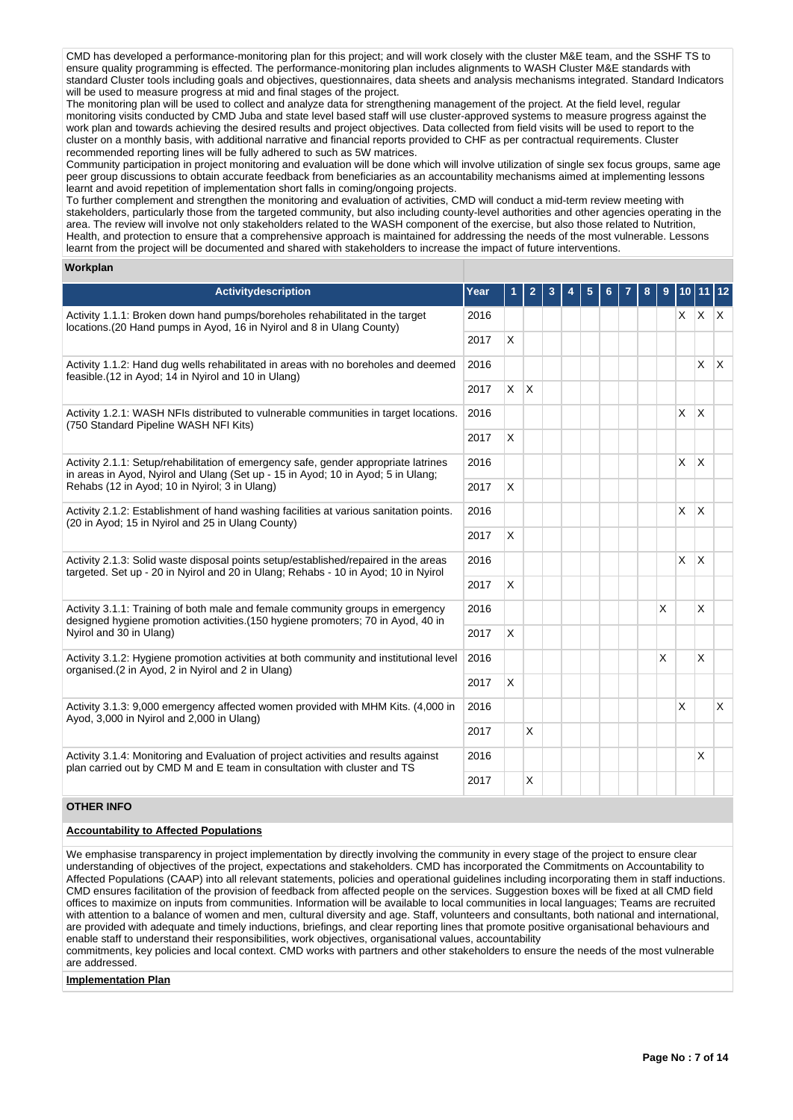CMD has developed a performance-monitoring plan for this project; and will work closely with the cluster M&E team, and the SSHF TS to ensure quality programming is effected. The performance-monitoring plan includes alignments to WASH Cluster M&E standards with standard Cluster tools including goals and objectives, questionnaires, data sheets and analysis mechanisms integrated. Standard Indicators will be used to measure progress at mid and final stages of the project.

The monitoring plan will be used to collect and analyze data for strengthening management of the project. At the field level, regular monitoring visits conducted by CMD Juba and state level based staff will use cluster-approved systems to measure progress against the work plan and towards achieving the desired results and project objectives. Data collected from field visits will be used to report to the cluster on a monthly basis, with additional narrative and financial reports provided to CHF as per contractual requirements. Cluster recommended reporting lines will be fully adhered to such as 5W matrices.

Community participation in project monitoring and evaluation will be done which will involve utilization of single sex focus groups, same age peer group discussions to obtain accurate feedback from beneficiaries as an accountability mechanisms aimed at implementing lessons learnt and avoid repetition of implementation short falls in coming/ongoing projects.

To further complement and strengthen the monitoring and evaluation of activities, CMD will conduct a mid-term review meeting with stakeholders, particularly those from the targeted community, but also including county-level authorities and other agencies operating in the area. The review will involve not only stakeholders related to the WASH component of the exercise, but also those related to Nutrition, Health, and protection to ensure that a comprehensive approach is maintained for addressing the needs of the most vulnerable. Lessons learnt from the project will be documented and shared with stakeholders to increase the impact of future interventions.

#### **Workplan**

| Activitydescription                                                                                                                                                       | Year | 1 | 2            | 3 | 5 |  | 8 | 9 |    |                   | 12           |
|---------------------------------------------------------------------------------------------------------------------------------------------------------------------------|------|---|--------------|---|---|--|---|---|----|-------------------|--------------|
| Activity 1.1.1: Broken down hand pumps/boreholes rehabilitated in the target<br>locations. (20 Hand pumps in Ayod, 16 in Nyirol and 8 in Ulang County)                    | 2016 |   |              |   |   |  |   |   |    | $x \mid x \mid x$ |              |
|                                                                                                                                                                           | 2017 | X |              |   |   |  |   |   |    |                   |              |
| Activity 1.1.2: Hand dug wells rehabilitated in areas with no boreholes and deemed<br>feasible. (12 in Ayod; 14 in Nyirol and 10 in Ulang)                                | 2016 |   |              |   |   |  |   |   |    | $\mathsf{x}$      | $\mathsf{X}$ |
|                                                                                                                                                                           | 2017 | X | $\mathsf{X}$ |   |   |  |   |   |    |                   |              |
| Activity 1.2.1: WASH NFIs distributed to vulnerable communities in target locations.<br>(750 Standard Pipeline WASH NFI Kits)                                             | 2016 |   |              |   |   |  |   |   | X. | $\times$          |              |
|                                                                                                                                                                           | 2017 | X |              |   |   |  |   |   |    |                   |              |
| Activity 2.1.1: Setup/rehabilitation of emergency safe, gender appropriate latrines<br>in areas in Ayod, Nyirol and Ulang (Set up - 15 in Ayod; 10 in Ayod; 5 in Ulang;   | 2016 |   |              |   |   |  |   |   | X  | <sup>X</sup>      |              |
| Rehabs (12 in Ayod; 10 in Nyirol; 3 in Ulang)                                                                                                                             | 2017 | X |              |   |   |  |   |   |    |                   |              |
| Activity 2.1.2: Establishment of hand washing facilities at various sanitation points.<br>(20 in Ayod; 15 in Nyirol and 25 in Ulang County)                               | 2016 |   |              |   |   |  |   |   | X. | ΙX.               |              |
|                                                                                                                                                                           | 2017 | X |              |   |   |  |   |   |    |                   |              |
| Activity 2.1.3: Solid waste disposal points setup/established/repaired in the areas<br>targeted. Set up - 20 in Nyirol and 20 in Ulang; Rehabs - 10 in Ayod; 10 in Nyirol | 2016 |   |              |   |   |  |   |   | X  | $\mathsf{\chi}$   |              |
|                                                                                                                                                                           | 2017 | X |              |   |   |  |   |   |    |                   |              |
| Activity 3.1.1: Training of both male and female community groups in emergency<br>designed hygiene promotion activities. (150 hygiene promoters; 70 in Ayod, 40 in        | 2016 |   |              |   |   |  |   | X |    | $\times$          |              |
| Nyirol and 30 in Ulang)                                                                                                                                                   | 2017 | X |              |   |   |  |   |   |    |                   |              |
| Activity 3.1.2: Hygiene promotion activities at both community and institutional level<br>organised.(2 in Ayod, 2 in Nyirol and 2 in Ulang)                               | 2016 |   |              |   |   |  |   | X |    | $\times$          |              |
|                                                                                                                                                                           | 2017 | X |              |   |   |  |   |   |    |                   |              |
| Activity 3.1.3: 9,000 emergency affected women provided with MHM Kits. (4,000 in<br>Ayod, 3,000 in Nyirol and 2,000 in Ulang)                                             | 2016 |   |              |   |   |  |   |   | X  |                   | X            |
| 2017                                                                                                                                                                      |      |   | X            |   |   |  |   |   |    |                   |              |
| Activity 3.1.4: Monitoring and Evaluation of project activities and results against<br>plan carried out by CMD M and E team in consultation with cluster and TS           | 2016 |   |              |   |   |  |   |   |    | $\times$          |              |
|                                                                                                                                                                           | 2017 |   | X            |   |   |  |   |   |    |                   |              |

# **OTHER INFO**

### **Accountability to Affected Populations**

We emphasise transparency in project implementation by directly involving the community in every stage of the project to ensure clear understanding of objectives of the project, expectations and stakeholders. CMD has incorporated the Commitments on Accountability to Affected Populations (CAAP) into all relevant statements, policies and operational guidelines including incorporating them in staff inductions. CMD ensures facilitation of the provision of feedback from affected people on the services. Suggestion boxes will be fixed at all CMD field offices to maximize on inputs from communities. Information will be available to local communities in local languages; Teams are recruited with attention to a balance of women and men, cultural diversity and age. Staff, volunteers and consultants, both national and international, are provided with adequate and timely inductions, briefings, and clear reporting lines that promote positive organisational behaviours and enable staff to understand their responsibilities, work objectives, organisational values, accountability commitments, key policies and local context. CMD works with partners and other stakeholders to ensure the needs of the most vulnerable are addressed.

#### **Implementation Plan**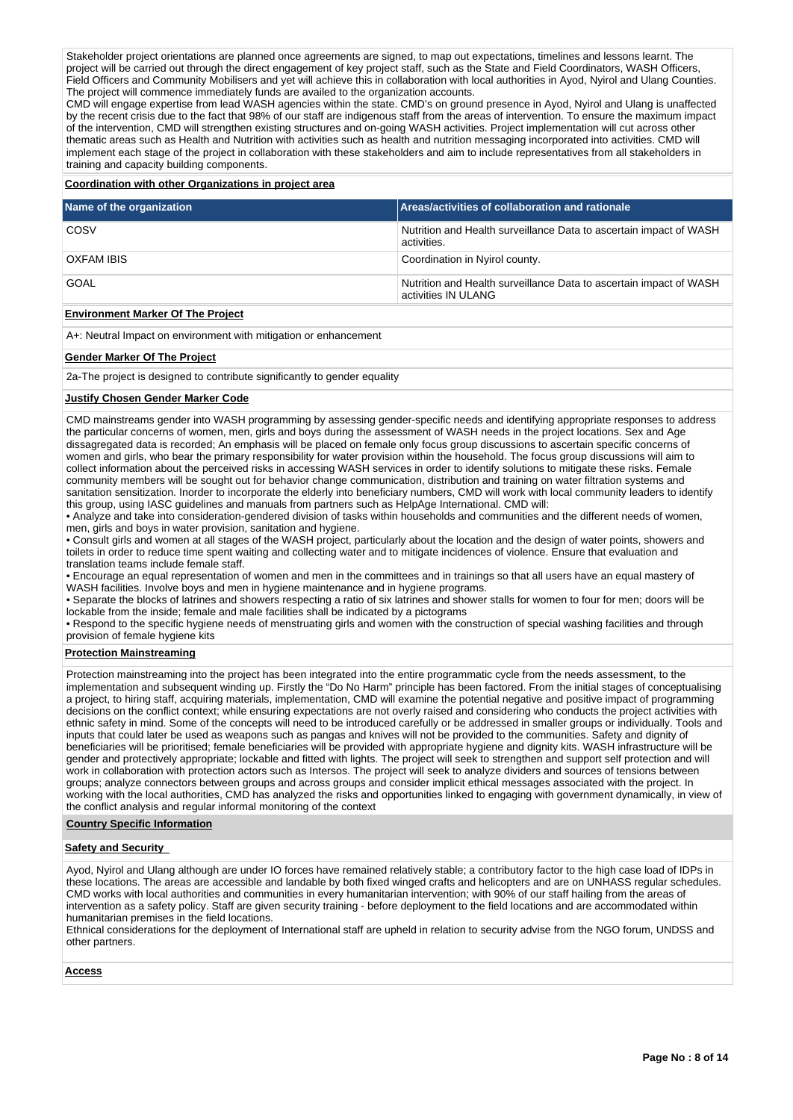Stakeholder project orientations are planned once agreements are signed, to map out expectations, timelines and lessons learnt. The project will be carried out through the direct engagement of key project staff, such as the State and Field Coordinators, WASH Officers, Field Officers and Community Mobilisers and yet will achieve this in collaboration with local authorities in Ayod, Nyirol and Ulang Counties. The project will commence immediately funds are availed to the organization accounts.

CMD will engage expertise from lead WASH agencies within the state. CMD's on ground presence in Ayod, Nyirol and Ulang is unaffected by the recent crisis due to the fact that 98% of our staff are indigenous staff from the areas of intervention. To ensure the maximum impact of the intervention, CMD will strengthen existing structures and on-going WASH activities. Project implementation will cut across other thematic areas such as Health and Nutrition with activities such as health and nutrition messaging incorporated into activities. CMD will implement each stage of the project in collaboration with these stakeholders and aim to include representatives from all stakeholders in training and capacity building components.

# **Coordination with other Organizations in project area**

| Name of the organization | Areas/activities of collaboration and rationale                                           |
|--------------------------|-------------------------------------------------------------------------------------------|
| COSV                     | Nutrition and Health surveillance Data to ascertain impact of WASH<br>activities.         |
| OXFAM IBIS               | Coordination in Nyirol county.                                                            |
| <b>GOAL</b>              | Nutrition and Health surveillance Data to ascertain impact of WASH<br>activities IN ULANG |

# **Environment Marker Of The Project**

A+: Neutral Impact on environment with mitigation or enhancement

#### **Gender Marker Of The Project**

2a-The project is designed to contribute significantly to gender equality

#### **Justify Chosen Gender Marker Code**

CMD mainstreams gender into WASH programming by assessing gender-specific needs and identifying appropriate responses to address the particular concerns of women, men, girls and boys during the assessment of WASH needs in the project locations. Sex and Age dissagregated data is recorded; An emphasis will be placed on female only focus group discussions to ascertain specific concerns of women and girls, who bear the primary responsibility for water provision within the household. The focus group discussions will aim to collect information about the perceived risks in accessing WASH services in order to identify solutions to mitigate these risks. Female community members will be sought out for behavior change communication, distribution and training on water filtration systems and sanitation sensitization. Inorder to incorporate the elderly into beneficiary numbers, CMD will work with local community leaders to identify this group, using IASC guidelines and manuals from partners such as HelpAge International. CMD will:

• Analyze and take into consideration-gendered division of tasks within households and communities and the different needs of women, men, girls and boys in water provision, sanitation and hygiene.

• Consult girls and women at all stages of the WASH project, particularly about the location and the design of water points, showers and toilets in order to reduce time spent waiting and collecting water and to mitigate incidences of violence. Ensure that evaluation and translation teams include female staff.

• Encourage an equal representation of women and men in the committees and in trainings so that all users have an equal mastery of WASH facilities. Involve boys and men in hygiene maintenance and in hygiene programs.

• Separate the blocks of latrines and showers respecting a ratio of six latrines and shower stalls for women to four for men; doors will be lockable from the inside; female and male facilities shall be indicated by a pictograms

• Respond to the specific hygiene needs of menstruating girls and women with the construction of special washing facilities and through provision of female hygiene kits

#### **Protection Mainstreaming**

Protection mainstreaming into the project has been integrated into the entire programmatic cycle from the needs assessment, to the implementation and subsequent winding up. Firstly the "Do No Harm" principle has been factored. From the initial stages of conceptualising a project, to hiring staff, acquiring materials, implementation, CMD will examine the potential negative and positive impact of programming decisions on the conflict context; while ensuring expectations are not overly raised and considering who conducts the project activities with ethnic safety in mind. Some of the concepts will need to be introduced carefully or be addressed in smaller groups or individually. Tools and inputs that could later be used as weapons such as pangas and knives will not be provided to the communities. Safety and dignity of beneficiaries will be prioritised; female beneficiaries will be provided with appropriate hygiene and dignity kits. WASH infrastructure will be gender and protectively appropriate; lockable and fitted with lights. The project will seek to strengthen and support self protection and will work in collaboration with protection actors such as Intersos. The project will seek to analyze dividers and sources of tensions between groups; analyze connectors between groups and across groups and consider implicit ethical messages associated with the project. In working with the local authorities, CMD has analyzed the risks and opportunities linked to engaging with government dynamically, in view of the conflict analysis and regular informal monitoring of the context

#### **Country Specific Information**

#### **Safety and Security**

Ayod, Nyirol and Ulang although are under IO forces have remained relatively stable; a contributory factor to the high case load of IDPs in these locations. The areas are accessible and landable by both fixed winged crafts and helicopters and are on UNHASS regular schedules. CMD works with local authorities and communities in every humanitarian intervention; with 90% of our staff hailing from the areas of intervention as a safety policy. Staff are given security training - before deployment to the field locations and are accommodated within humanitarian premises in the field locations.

Ethnical considerations for the deployment of International staff are upheld in relation to security advise from the NGO forum, UNDSS and other partners.

#### **Access**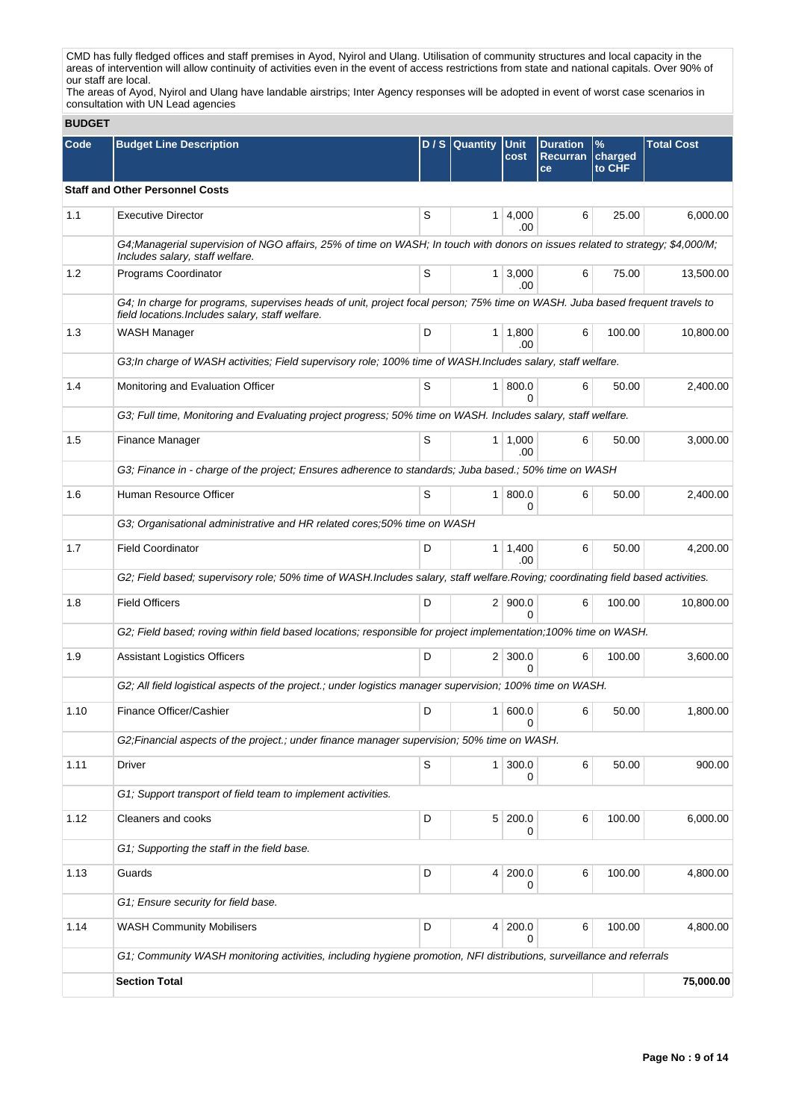CMD has fully fledged offices and staff premises in Ayod, Nyirol and Ulang. Utilisation of community structures and local capacity in the areas of intervention will allow continuity of activities even in the event of access restrictions from state and national capitals. Over 90% of our staff are local.

The areas of Ayod, Nyirol and Ulang have landable airstrips; Inter Agency responses will be adopted in event of worst case scenarios in consultation with UN Lead agencies

| <b>BUDGET</b> |                                                                                                                                                                                  |   |                  |                       |                                          |                           |                   |
|---------------|----------------------------------------------------------------------------------------------------------------------------------------------------------------------------------|---|------------------|-----------------------|------------------------------------------|---------------------------|-------------------|
| Code          | <b>Budget Line Description</b>                                                                                                                                                   |   | $D / S$ Quantity | <b>Unit</b><br>cost   | <b>Duration</b><br><b>Recurran</b><br>ce | $\%$<br>charged<br>to CHF | <b>Total Cost</b> |
|               | <b>Staff and Other Personnel Costs</b>                                                                                                                                           |   |                  |                       |                                          |                           |                   |
| 1.1           | <b>Executive Director</b>                                                                                                                                                        | S | 1                | 4,000<br>.00          | 6                                        | 25.00                     | 6,000.00          |
|               | G4, Managerial supervision of NGO affairs, 25% of time on WASH; In touch with donors on issues related to strategy; \$4,000/M;<br>Includes salary, staff welfare.                |   |                  |                       |                                          |                           |                   |
| 1.2           | Programs Coordinator                                                                                                                                                             | S | 1 <sup>1</sup>   | 3,000<br>.00          | 6                                        | 75.00                     | 13,500.00         |
|               | G4; In charge for programs, supervises heads of unit, project focal person; 75% time on WASH. Juba based frequent travels to<br>field locations. Includes salary, staff welfare. |   |                  |                       |                                          |                           |                   |
| 1.3           | WASH Manager                                                                                                                                                                     | D |                  | $1 \mid 1,800$<br>.00 | 6                                        | 100.00                    | 10,800.00         |
|               | G3; In charge of WASH activities; Field supervisory role; 100% time of WASH. Includes salary, staff welfare.                                                                     |   |                  |                       |                                          |                           |                   |
| 1.4           | Monitoring and Evaluation Officer                                                                                                                                                | S | $\mathbf{1}$     | 800.0<br>U            | 6                                        | 50.00                     | 2.400.00          |
|               | G3; Full time, Monitoring and Evaluating project progress; 50% time on WASH. Includes salary, staff welfare.                                                                     |   |                  |                       |                                          |                           |                   |
| 1.5           | Finance Manager                                                                                                                                                                  | S | 1 <sup>1</sup>   | 1.000<br>.00          | 6                                        | 50.00                     | 3,000.00          |
|               | G3; Finance in - charge of the project; Ensures adherence to standards; Juba based.; 50% time on WASH                                                                            |   |                  |                       |                                          |                           |                   |
| 1.6           | Human Resource Officer                                                                                                                                                           | S | 1                | 800.0<br>0            | 6                                        | 50.00                     | 2,400.00          |
|               | G3; Organisational administrative and HR related cores;50% time on WASH                                                                                                          |   |                  |                       |                                          |                           |                   |
| 1.7           | <b>Field Coordinator</b>                                                                                                                                                         | D | $\mathbf{1}$     | 1,400<br>.00.         | 6                                        | 50.00                     | 4,200.00          |
|               | G2; Field based; supervisory role; 50% time of WASH.Includes salary, staff welfare.Roving; coordinating field based activities.                                                  |   |                  |                       |                                          |                           |                   |
| 1.8           | <b>Field Officers</b>                                                                                                                                                            | D |                  | 2   900.0<br>0        | 6                                        | 100.00                    | 10,800.00         |
|               | G2; Field based; roving within field based locations; responsible for project implementation;100% time on WASH.                                                                  |   |                  |                       |                                          |                           |                   |
| 1.9           | <b>Assistant Logistics Officers</b>                                                                                                                                              | D |                  | $2 \mid 300.0$<br>U   | 6                                        | 100.00                    | 3,600.00          |
|               | G2; All field logistical aspects of the project.; under logistics manager supervision; 100% time on WASH.                                                                        |   |                  |                       |                                          |                           |                   |
| 1.10          | Finance Officer/Cashier                                                                                                                                                          | D | 1                | 600.0<br>0            | 6                                        | 50.00                     | 1,800.00          |
|               | G2; Financial aspects of the project.; under finance manager supervision; 50% time on WASH.                                                                                      |   |                  |                       |                                          |                           |                   |
| 1.11          | Driver                                                                                                                                                                           | S | $\mathbf{1}$     | 300.0<br>0            | 6                                        | 50.00                     | 900.00            |
|               | G1; Support transport of field team to implement activities.                                                                                                                     |   |                  |                       |                                          |                           |                   |
| 1.12          | Cleaners and cooks                                                                                                                                                               | D | 5 <sup>1</sup>   | 200.0<br>0            | 6                                        | 100.00                    | 6,000.00          |
|               | G1; Supporting the staff in the field base.                                                                                                                                      |   |                  |                       |                                          |                           |                   |
| 1.13          | Guards                                                                                                                                                                           | D | $\vert 4 \vert$  | 200.0<br>0            | 6                                        | 100.00                    | 4,800.00          |
|               | G1; Ensure security for field base.                                                                                                                                              |   |                  |                       |                                          |                           |                   |
| 1.14          | <b>WASH Community Mobilisers</b>                                                                                                                                                 | D | 4                | 200.0<br>0            | 6                                        | 100.00                    | 4,800.00          |
|               | G1; Community WASH monitoring activities, including hygiene promotion, NFI distributions, surveillance and referrals                                                             |   |                  |                       |                                          |                           |                   |
|               | <b>Section Total</b>                                                                                                                                                             |   |                  |                       |                                          |                           | 75,000.00         |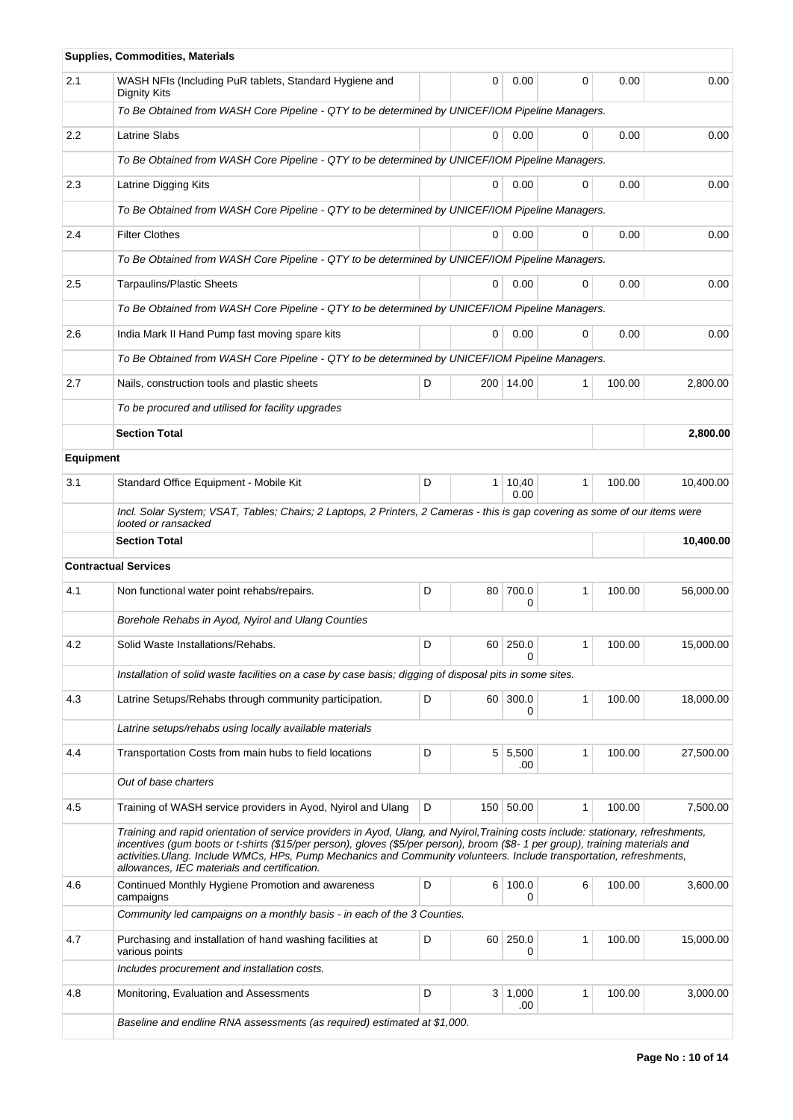|                  | <b>Supplies, Commodities, Materials</b>                                                                                                                                                                                                                                                                                                                                                                                                    |      |                 |               |              |        |           |
|------------------|--------------------------------------------------------------------------------------------------------------------------------------------------------------------------------------------------------------------------------------------------------------------------------------------------------------------------------------------------------------------------------------------------------------------------------------------|------|-----------------|---------------|--------------|--------|-----------|
| 2.1              | WASH NFIs (Including PuR tablets, Standard Hygiene and<br>Dignity Kits                                                                                                                                                                                                                                                                                                                                                                     |      | 0               | 0.00          | 0            | 0.00   | 0.00      |
|                  | To Be Obtained from WASH Core Pipeline - QTY to be determined by UNICEF/IOM Pipeline Managers.                                                                                                                                                                                                                                                                                                                                             |      |                 |               |              |        |           |
| 2.2              | <b>Latrine Slabs</b>                                                                                                                                                                                                                                                                                                                                                                                                                       |      | 0               | 0.00          | 0            | 0.00   | 0.00      |
|                  | To Be Obtained from WASH Core Pipeline - QTY to be determined by UNICEF/IOM Pipeline Managers.                                                                                                                                                                                                                                                                                                                                             |      |                 |               |              |        |           |
| 2.3              | Latrine Digging Kits                                                                                                                                                                                                                                                                                                                                                                                                                       | 0.00 | 0.00            |               |              |        |           |
|                  | To Be Obtained from WASH Core Pipeline - QTY to be determined by UNICEF/IOM Pipeline Managers.                                                                                                                                                                                                                                                                                                                                             |      |                 |               |              |        |           |
| 2.4              | <b>Filter Clothes</b>                                                                                                                                                                                                                                                                                                                                                                                                                      |      | 0               | 0.00          | 0            | 0.00   | 0.00      |
|                  | To Be Obtained from WASH Core Pipeline - QTY to be determined by UNICEF/IOM Pipeline Managers.                                                                                                                                                                                                                                                                                                                                             |      |                 |               |              |        |           |
| 2.5              | <b>Tarpaulins/Plastic Sheets</b>                                                                                                                                                                                                                                                                                                                                                                                                           |      | 0               | 0.00          | 0            | 0.00   | 0.00      |
|                  | To Be Obtained from WASH Core Pipeline - QTY to be determined by UNICEF/IOM Pipeline Managers.                                                                                                                                                                                                                                                                                                                                             |      |                 |               |              |        |           |
| 2.6              | India Mark II Hand Pump fast moving spare kits                                                                                                                                                                                                                                                                                                                                                                                             |      | 0               | 0.00          | 0            | 0.00   | 0.00      |
|                  | To Be Obtained from WASH Core Pipeline - QTY to be determined by UNICEF/IOM Pipeline Managers.                                                                                                                                                                                                                                                                                                                                             |      |                 |               |              |        |           |
| 2.7              | Nails, construction tools and plastic sheets                                                                                                                                                                                                                                                                                                                                                                                               | D    |                 | 200 14.00     | 1            | 100.00 | 2,800.00  |
|                  | To be procured and utilised for facility upgrades                                                                                                                                                                                                                                                                                                                                                                                          |      |                 |               |              |        |           |
|                  | <b>Section Total</b>                                                                                                                                                                                                                                                                                                                                                                                                                       |      |                 |               |              |        | 2,800.00  |
| <b>Equipment</b> |                                                                                                                                                                                                                                                                                                                                                                                                                                            |      |                 |               |              |        |           |
| 3.1              | Standard Office Equipment - Mobile Kit                                                                                                                                                                                                                                                                                                                                                                                                     | D    | 1 <sup>1</sup>  | 10,40<br>0.00 | 1            | 100.00 | 10,400.00 |
|                  | Incl. Solar System; VSAT, Tables; Chairs; 2 Laptops, 2 Printers, 2 Cameras - this is gap covering as some of our items were<br>looted or ransacked                                                                                                                                                                                                                                                                                         |      |                 |               |              |        |           |
|                  | <b>Section Total</b>                                                                                                                                                                                                                                                                                                                                                                                                                       |      |                 |               |              |        | 10,400.00 |
|                  | <b>Contractual Services</b>                                                                                                                                                                                                                                                                                                                                                                                                                |      |                 |               |              |        |           |
| 4.1              | Non functional water point rehabs/repairs.                                                                                                                                                                                                                                                                                                                                                                                                 | D    | 80              | 700.0<br>0    | 1            | 100.00 | 56,000.00 |
|                  | Borehole Rehabs in Ayod, Nyirol and Ulang Counties                                                                                                                                                                                                                                                                                                                                                                                         |      |                 |               |              |        |           |
| 4.2              | Solid Waste Installations/Rehabs.                                                                                                                                                                                                                                                                                                                                                                                                          | D    |                 | 60 250.0<br>0 |              | 100.00 | 15,000.00 |
|                  | Installation of solid waste facilities on a case by case basis; digging of disposal pits in some sites.                                                                                                                                                                                                                                                                                                                                    |      |                 |               |              |        |           |
| 4.3              | Latrine Setups/Rehabs through community participation.                                                                                                                                                                                                                                                                                                                                                                                     | D    | 60 <sup>1</sup> | 300.0<br>0    | $\mathbf{1}$ | 100.00 | 18,000.00 |
|                  | Latrine setups/rehabs using locally available materials                                                                                                                                                                                                                                                                                                                                                                                    |      |                 |               |              |        |           |
| 4.4              | Transportation Costs from main hubs to field locations                                                                                                                                                                                                                                                                                                                                                                                     | D    | 5 <sup>1</sup>  | 5,500<br>.00  | 1            | 100.00 | 27,500.00 |
|                  | Out of base charters                                                                                                                                                                                                                                                                                                                                                                                                                       |      |                 |               |              |        |           |
| 4.5              | Training of WASH service providers in Ayod, Nyirol and Ulang                                                                                                                                                                                                                                                                                                                                                                               | D    |                 | 150 50.00     | 1            | 100.00 | 7,500.00  |
|                  | Training and rapid orientation of service providers in Ayod, Ulang, and Nyirol, Training costs include: stationary, refreshments,<br>incentives (gum boots or t-shirts (\$15/per person), gloves (\$5/per person), broom (\$8-1 per group), training materials and<br>activities. Ulang. Include WMCs, HPs, Pump Mechanics and Community volunteers. Include transportation, refreshments,<br>allowances, IEC materials and certification. |      |                 |               |              |        |           |
| 4.6              | Continued Monthly Hygiene Promotion and awareness<br>campaigns                                                                                                                                                                                                                                                                                                                                                                             | D    |                 | 6 100.0<br>0  | 6            | 100.00 | 3,600.00  |
|                  | Community led campaigns on a monthly basis - in each of the 3 Counties.                                                                                                                                                                                                                                                                                                                                                                    |      |                 |               |              |        |           |
| 4.7              | Purchasing and installation of hand washing facilities at<br>various points                                                                                                                                                                                                                                                                                                                                                                | D    | $60-$           | 250.0<br>0    | 1            | 100.00 | 15,000.00 |
|                  | Includes procurement and installation costs.                                                                                                                                                                                                                                                                                                                                                                                               |      |                 |               |              |        |           |
|                  |                                                                                                                                                                                                                                                                                                                                                                                                                                            |      |                 |               |              |        |           |
| 4.8              | Monitoring, Evaluation and Assessments                                                                                                                                                                                                                                                                                                                                                                                                     | D    | 3 <sup>1</sup>  | 1,000<br>.00  | 1            | 100.00 | 3,000.00  |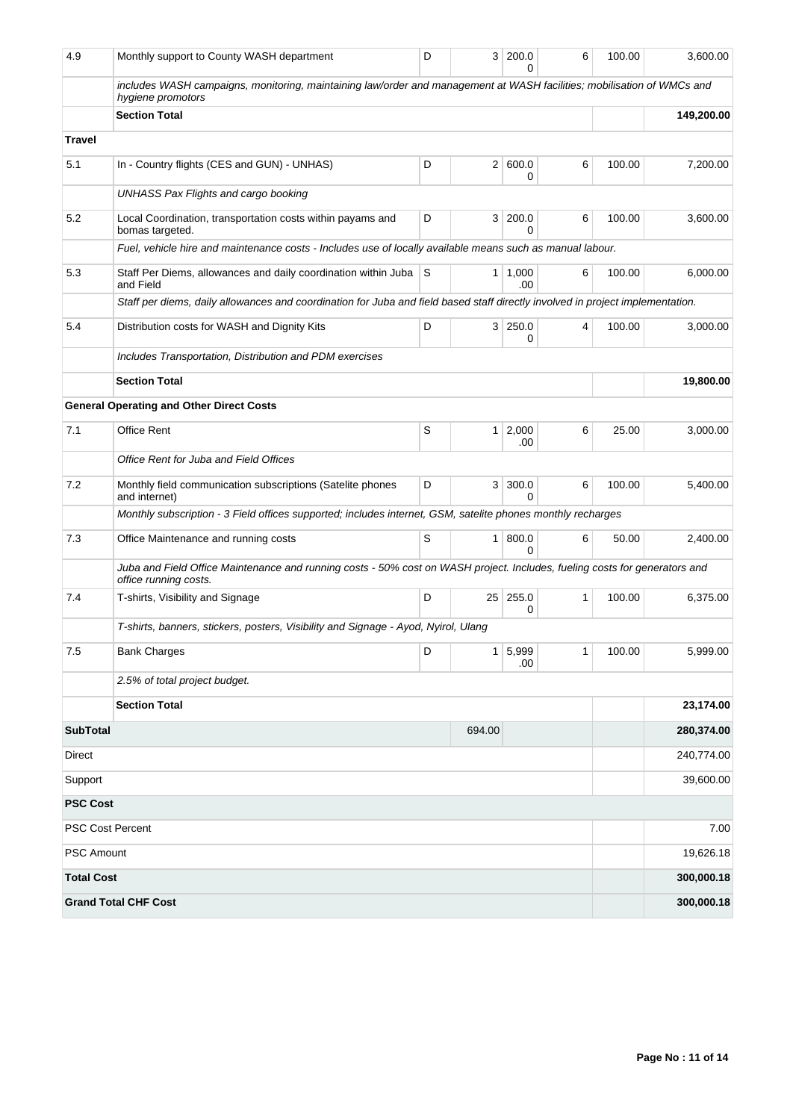| 4.9                     | Monthly support to County WASH department                                                                                                           | D |                | 3 200.0<br>O          | 6 | 100.00 | 3,600.00   |
|-------------------------|-----------------------------------------------------------------------------------------------------------------------------------------------------|---|----------------|-----------------------|---|--------|------------|
|                         | includes WASH campaigns, monitoring, maintaining law/order and management at WASH facilities; mobilisation of WMCs and<br>hygiene promotors         |   |                |                       |   |        |            |
|                         | <b>Section Total</b>                                                                                                                                |   |                |                       |   |        | 149,200.00 |
| <b>Travel</b>           |                                                                                                                                                     |   |                |                       |   |        |            |
| 5.1                     | In - Country flights (CES and GUN) - UNHAS)                                                                                                         | D |                | 2   600.0<br>0        | 6 | 100.00 | 7,200.00   |
|                         | UNHASS Pax Flights and cargo booking                                                                                                                |   |                |                       |   |        |            |
| 5.2                     | Local Coordination, transportation costs within payams and<br>bomas targeted.                                                                       | D |                | 3 200.0<br>0          | 6 | 100.00 | 3,600.00   |
|                         | Fuel, vehicle hire and maintenance costs - Includes use of locally available means such as manual labour.                                           |   |                |                       |   |        |            |
| 5.3                     | Staff Per Diems, allowances and daily coordination within Juba S<br>and Field                                                                       |   |                | $1 \mid 1,000$<br>.00 | 6 | 100.00 | 6,000.00   |
|                         | Staff per diems, daily allowances and coordination for Juba and field based staff directly involved in project implementation.                      |   |                |                       |   |        |            |
| 5.4                     | Distribution costs for WASH and Dignity Kits                                                                                                        | D |                | 3 250.0<br>0          | 4 | 100.00 | 3,000.00   |
|                         | Includes Transportation, Distribution and PDM exercises                                                                                             |   |                |                       |   |        |            |
|                         | <b>Section Total</b>                                                                                                                                |   |                |                       |   |        | 19,800.00  |
|                         | <b>General Operating and Other Direct Costs</b>                                                                                                     |   |                |                       |   |        |            |
| 7.1                     | <b>Office Rent</b>                                                                                                                                  | S |                | $1 \, 2,000$<br>.00   | 6 | 25.00  | 3,000.00   |
|                         | Office Rent for Juba and Field Offices                                                                                                              |   |                |                       |   |        |            |
| 7.2                     | Monthly field communication subscriptions (Satelite phones<br>and internet)                                                                         | D |                | 3 300.0<br>$\Omega$   | 6 | 100.00 | 5,400.00   |
|                         | Monthly subscription - 3 Field offices supported; includes internet, GSM, satelite phones monthly recharges                                         |   |                |                       |   |        |            |
| 7.3                     | Office Maintenance and running costs                                                                                                                | S |                | 1 800.0<br>O          | 6 | 50.00  | 2,400.00   |
|                         | Juba and Field Office Maintenance and running costs - 50% cost on WASH project. Includes, fueling costs for generators and<br>office running costs. |   |                |                       |   |        |            |
| 7.4                     | T-shirts, Visibility and Signage                                                                                                                    | D |                | 25 255.0<br>0         | 1 | 100.00 | 6,375.00   |
|                         | T-shirts, banners, stickers, posters, Visibility and Signage - Ayod, Nyirol, Ulang                                                                  |   |                |                       |   |        |            |
| 7.5                     | <b>Bank Charges</b>                                                                                                                                 | D | 1 <sup>1</sup> | 5,999<br>.00          | 1 | 100.00 | 5,999.00   |
|                         | 2.5% of total project budget.                                                                                                                       |   |                |                       |   |        |            |
|                         | <b>Section Total</b>                                                                                                                                |   |                |                       |   |        | 23,174.00  |
| <b>SubTotal</b>         |                                                                                                                                                     |   | 694.00         |                       |   |        | 280,374.00 |
| <b>Direct</b>           |                                                                                                                                                     |   |                |                       |   |        | 240,774.00 |
| Support                 |                                                                                                                                                     |   |                |                       |   |        | 39,600.00  |
| <b>PSC Cost</b>         |                                                                                                                                                     |   |                |                       |   |        |            |
| <b>PSC Cost Percent</b> |                                                                                                                                                     |   |                |                       |   |        | 7.00       |
| <b>PSC Amount</b>       |                                                                                                                                                     |   |                |                       |   |        | 19,626.18  |
| <b>Total Cost</b>       |                                                                                                                                                     |   |                |                       |   |        | 300,000.18 |
|                         | <b>Grand Total CHF Cost</b>                                                                                                                         |   |                |                       |   |        | 300,000.18 |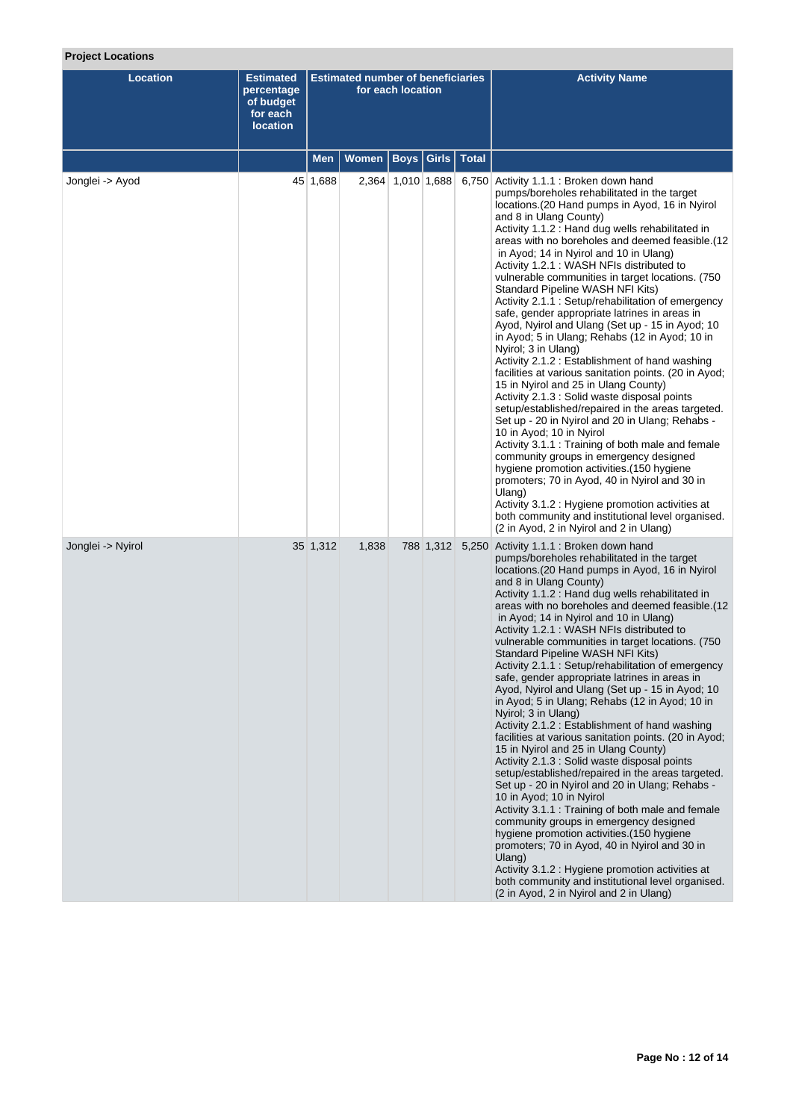# **Project Locations**

| <b>Location</b>   | <b>Estimated</b><br>percentage<br>of budget<br>for each<br><b>location</b> | <b>Estimated number of beneficiaries</b><br>for each location |              |             |                   |       | <b>Activity Name</b>                                                                                                                                                                                                                                                                                                                                                                                                                                                                                                                                                                                                                                                                                                                                                                                                                                                                                                                                                                                                                                                                                                                                                                                                                                                                                                                                                                             |
|-------------------|----------------------------------------------------------------------------|---------------------------------------------------------------|--------------|-------------|-------------------|-------|--------------------------------------------------------------------------------------------------------------------------------------------------------------------------------------------------------------------------------------------------------------------------------------------------------------------------------------------------------------------------------------------------------------------------------------------------------------------------------------------------------------------------------------------------------------------------------------------------------------------------------------------------------------------------------------------------------------------------------------------------------------------------------------------------------------------------------------------------------------------------------------------------------------------------------------------------------------------------------------------------------------------------------------------------------------------------------------------------------------------------------------------------------------------------------------------------------------------------------------------------------------------------------------------------------------------------------------------------------------------------------------------------|
|                   |                                                                            | Men                                                           | <b>Women</b> | <b>Boys</b> | Girls             | Total |                                                                                                                                                                                                                                                                                                                                                                                                                                                                                                                                                                                                                                                                                                                                                                                                                                                                                                                                                                                                                                                                                                                                                                                                                                                                                                                                                                                                  |
| Jonglei -> Ayod   |                                                                            | 45 1,688                                                      |              |             | 2,364 1,010 1,688 |       | 6,750 Activity 1.1.1 : Broken down hand<br>pumps/boreholes rehabilitated in the target<br>locations. (20 Hand pumps in Ayod, 16 in Nyirol<br>and 8 in Ulang County)<br>Activity 1.1.2 : Hand dug wells rehabilitated in<br>areas with no boreholes and deemed feasible.(12<br>in Ayod; 14 in Nyirol and 10 in Ulang)<br>Activity 1.2.1 : WASH NFIs distributed to<br>vulnerable communities in target locations. (750)<br>Standard Pipeline WASH NFI Kits)<br>Activity 2.1.1 : Setup/rehabilitation of emergency<br>safe, gender appropriate latrines in areas in<br>Ayod, Nyirol and Ulang (Set up - 15 in Ayod; 10<br>in Ayod; 5 in Ulang; Rehabs (12 in Ayod; 10 in<br>Nyirol; 3 in Ulang)<br>Activity 2.1.2 : Establishment of hand washing<br>facilities at various sanitation points. (20 in Ayod;<br>15 in Nyirol and 25 in Ulang County)<br>Activity 2.1.3 : Solid waste disposal points<br>setup/established/repaired in the areas targeted.<br>Set up - 20 in Nyirol and 20 in Ulang; Rehabs -<br>10 in Ayod; 10 in Nyirol<br>Activity 3.1.1 : Training of both male and female<br>community groups in emergency designed<br>hygiene promotion activities. (150 hygiene<br>promoters; 70 in Ayod, 40 in Nyirol and 30 in<br>Ulang)<br>Activity 3.1.2 : Hygiene promotion activities at<br>both community and institutional level organised.<br>(2 in Ayod, 2 in Nyirol and 2 in Ulang) |
| Jonglei -> Nyirol |                                                                            | 35 1,312                                                      | 1,838        |             | 788 1,312         |       | 5,250 Activity 1.1.1 : Broken down hand<br>pumps/boreholes rehabilitated in the target<br>locations. (20 Hand pumps in Ayod, 16 in Nyirol<br>and 8 in Ulang County)<br>Activity 1.1.2 : Hand dug wells rehabilitated in<br>areas with no boreholes and deemed feasible.(12<br>in Ayod; 14 in Nyirol and 10 in Ulang)<br>Activity 1.2.1: WASH NFIs distributed to<br>vulnerable communities in target locations. (750<br>Standard Pipeline WASH NFI Kits)<br>Activity 2.1.1 : Setup/rehabilitation of emergency<br>safe, gender appropriate latrines in areas in<br>Ayod, Nyirol and Ulang (Set up - 15 in Ayod; 10<br>in Ayod; 5 in Ulang; Rehabs (12 in Ayod; 10 in<br>Nyirol; 3 in Ulang)<br>Activity 2.1.2 : Establishment of hand washing<br>facilities at various sanitation points. (20 in Ayod;<br>15 in Nyirol and 25 in Ulang County)<br>Activity 2.1.3 : Solid waste disposal points<br>setup/established/repaired in the areas targeted.<br>Set up - 20 in Nyirol and 20 in Ulang; Rehabs -<br>10 in Ayod; 10 in Nyirol<br>Activity 3.1.1 : Training of both male and female<br>community groups in emergency designed<br>hygiene promotion activities.(150 hygiene<br>promoters; 70 in Ayod, 40 in Nyirol and 30 in<br>Ulang)<br>Activity 3.1.2 : Hygiene promotion activities at<br>both community and institutional level organised.<br>(2 in Ayod, 2 in Nyirol and 2 in Ulang)    |